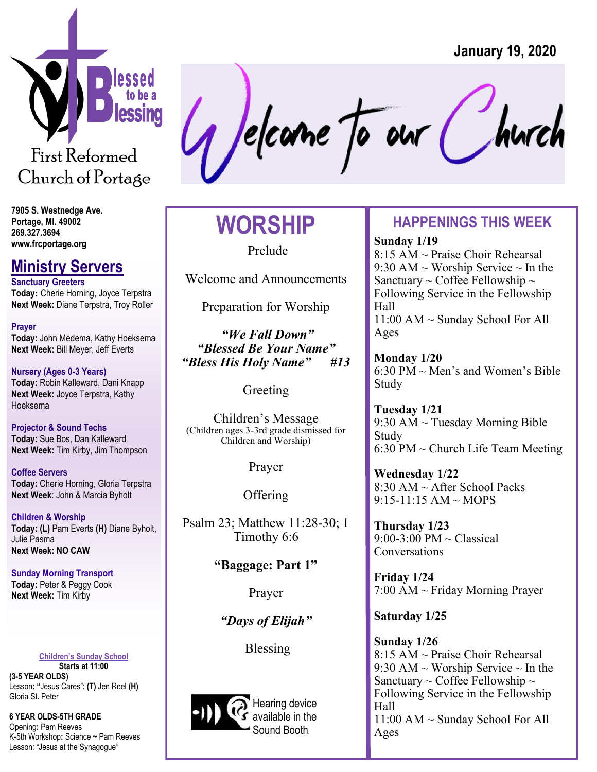

Church of Portage

# Jelcane To our C

## **WORSHIP**

Prelude

Welcome and Announcements

Preparation for Worship

*"We Fall Down" "Blessed Be Your Name" "Bless His Holy Name" #13* 

Greeting

Children's Message (Children ages 3-3rd grade dismissed for Children and Worship)

Prayer

**Offering** 

Psalm 23; Matthew 11:28-30; 1 Timothy 6:6

**"Baggage: Part 1"** 

Prayer

*"Days of Elijah"* 

Blessing



## **HAPPENINGS THIS WEEK**

**Sunday 1/19** 8:15 AM ~ Praise Choir Rehearsal 9:30 AM  $\sim$  Worship Service  $\sim$  In the Sanctuary  $\sim$  Coffee Fellowship  $\sim$ Following Service in the Fellowship Hall 11:00 AM ~ Sunday School For All Ages

**Monday 1/20** 6:30 PM  $\sim$  Men's and Women's Bible Study

**Tuesday 1/21** 9:30 AM  $\sim$  Tuesday Morning Bible Study 6:30 PM  $\sim$  Church Life Team Meeting

**Wednesday 1/22** 8:30 AM ~ After School Packs 9:15-11:15 AM ~ MOPS

**Thursday 1/23**  $9:00-3:00 \text{ PM} \sim \text{Classical}$ **Conversations** 

**Friday 1/24** 7:00 AM ~ Friday Morning Prayer

#### **Saturday 1/25**

**Sunday 1/26**  8:15 AM ~ Praise Choir Rehearsal 9:30 AM  $\sim$  Worship Service  $\sim$  In the Sanctuary  $\sim$  Coffee Fellowship  $\sim$ Following Service in the Fellowship Hall 11:00 AM ~ Sunday School For All Ages

**7905 S. Westnedge Ave. Portage, MI. 49002 269.327.3694 www.frcportage.org** 

## **Ministry Servers**

**Sanctuary Greeters Today:** Cherie Horning, Joyce Terpstra **Next Week:** Diane Terpstra, Troy Roller

**Prayer Today:** John Medema, Kathy Hoeksema **Next Week:** Bill Meyer, Jeff Everts

**Nursery (Ages 0-3 Years) Today:** Robin Kalleward, Dani Knapp **Next Week:** Joyce Terpstra, Kathy Hoeksema

**Projector & Sound Techs Today:** Sue Bos, Dan Kalleward **Next Week:** Tim Kirby, Jim Thompson

**Coffee Servers Today:** Cherie Horning, Gloria Terpstra **Next Week**: John & Marcia Byholt

**Children & Worship Today: (L)** Pam Everts **(H)** Diane Byholt, Julie Pasma **Next Week: NO CAW**

**Sunday Morning Transport Today:** Peter & Peggy Cook **Next Week:** Tim Kirby

**Children's Sunday School**

**Starts at 11:00 (3-5 YEAR OLDS)**  Lesson**: "**Jesus Cares": **(T)** Jen Reel **(H)**  Gloria St. Peter

**6 YEAR OLDS-5TH GRADE** 

Opening**:** Pam Reeves K-5th Workshop**:** Science **~** Pam Reeves Lesson: "Jesus at the Synagogue"